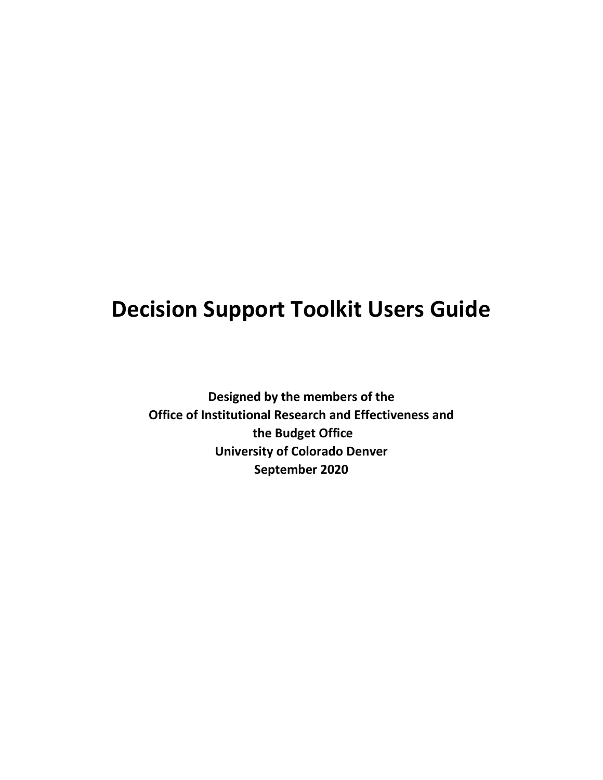# **Decision Support Toolkit Users Guide**

**Designed by the members of the Office of Institutional Research and Effectiveness and the Budget Office University of Colorado Denver September 2020**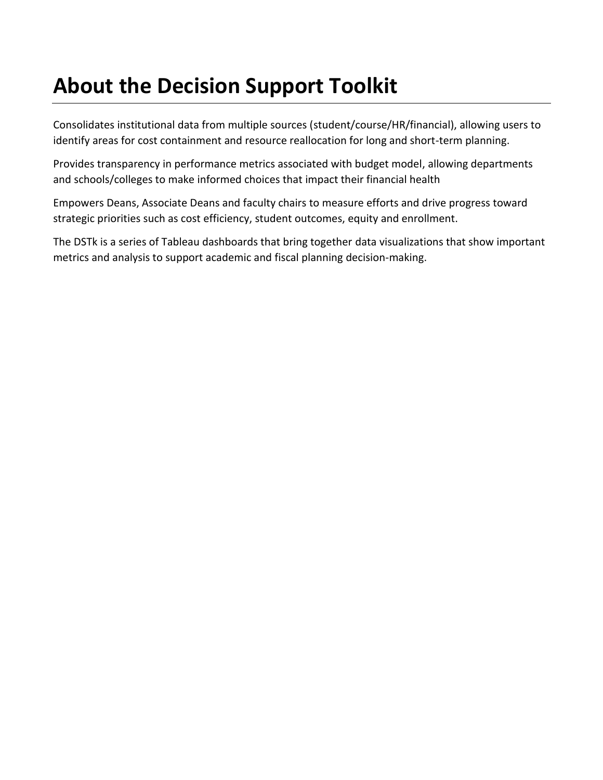## **About the Decision Support Toolkit**

Consolidates institutional data from multiple sources (student/course/HR/financial), allowing users to identify areas for cost containment and resource reallocation for long and short-term planning.

Provides transparency in performance metrics associated with budget model, allowing departments and schools/colleges to make informed choices that impact their financial health

Empowers Deans, Associate Deans and faculty chairs to measure efforts and drive progress toward strategic priorities such as cost efficiency, student outcomes, equity and enrollment.

The DSTk is a series of Tableau dashboards that bring together data visualizations that show important metrics and analysis to support academic and fiscal planning decision-making.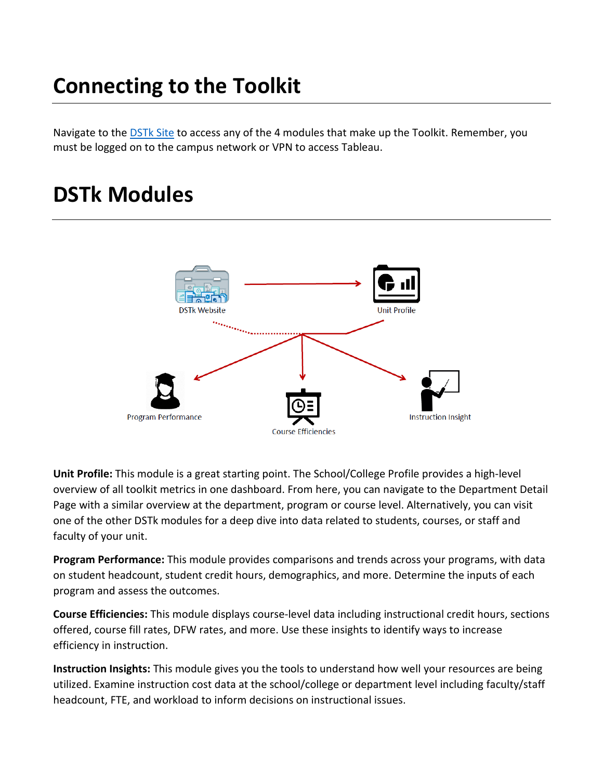## **Connecting to the Toolkit**

Navigate to the **[DSTk Site](https://www1.ucdenver.edu/offices/institutional-research-and-effectiveness/decision-support-toolkit) to access any of the 4 modules** that make up the Toolkit. Remember, you must be logged on to the campus network or VPN to access Tableau.

### **DSTk Modules**



**Unit Profile:** This module is a great starting point. The School/College Profile provides a high-level overview of all toolkit metrics in one dashboard. From here, you can navigate to the Department Detail Page with a similar overview at the department, program or course level. Alternatively, you can visit one of the other DSTk modules for a deep dive into data related to students, courses, or staff and faculty of your unit.

**Program Performance:** This module provides comparisons and trends across your programs, with data on student headcount, student credit hours, demographics, and more. Determine the inputs of each program and assess the outcomes.

**Course Efficiencies:** This module displays course-level data including instructional credit hours, sections offered, course fill rates, DFW rates, and more. Use these insights to identify ways to increase efficiency in instruction.

**Instruction Insights:** This module gives you the tools to understand how well your resources are being utilized. Examine instruction cost data at the school/college or department level including faculty/staff headcount, FTE, and workload to inform decisions on instructional issues.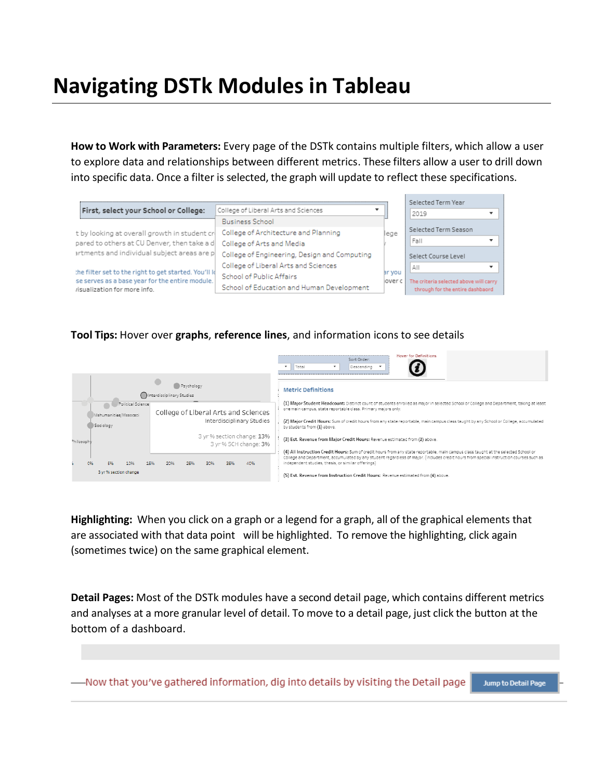## **Navigating DSTk Modules in Tableau**

**How to Work with Parameters:** Every page of the DSTk contains multiple filters, which allow a user to explore data and relationships between different metrics. These filters allow a user to drill down into specific data. Once a filter is selected, the graph will update to reflect these specifications.

|                                                                                                           |                                              |        | Selected Term Year                            |
|-----------------------------------------------------------------------------------------------------------|----------------------------------------------|--------|-----------------------------------------------|
| First, select your School or College:                                                                     | College of Liberal Arts and Sciences         |        | 2019                                          |
|                                                                                                           | <b>Business School</b>                       |        |                                               |
| t by looking at overall growth in student cr                                                              | College of Architecture and Planning         | lege   | Selected Term Season                          |
| pared to others at CU Denver, then take a d                                                               | College of Arts and Media                    |        | Fall                                          |
| artments and individual subject areas are p                                                               | College of Engineering, Design and Computing |        | Select Course Level                           |
|                                                                                                           | College of Liberal Arts and Sciences         |        | ΑII                                           |
| the filter set to the right to get started. You'll Id<br>ise serves as a base year for the entire module. | School of Public Affairs                     | ar you | over c The criteria selected above will carry |
| risualization for more info.                                                                              | School of Education and Human Development    |        | through for the entire dashbaord              |

#### **Tool Tips:** Hover over **graphs**, **reference lines**, and information icons to see details



**Highlighting:** When you click on a graph or a legend for a graph, all of the graphical elements that are associated with that data point will be highlighted. To remove the highlighting, click again (sometimes twice) on the same graphical element.

**Detail Pages:** Most of the DSTk modules have a second detail page, which contains different metrics and analyses at a more granular level of detail. To move to a detail page, just click the button at the bottom of a dashboard.

-Now that you've gathered information, dig into details by visiting the Detail page Jump to Detail Page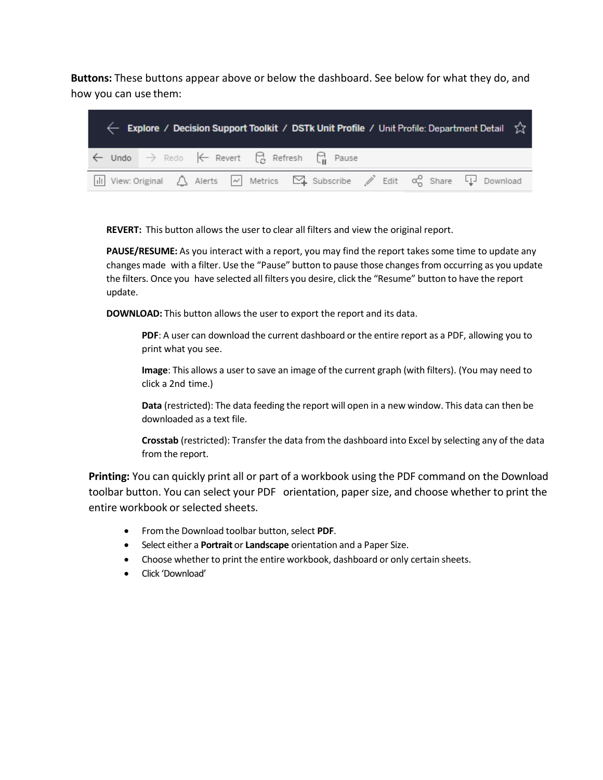**Buttons:** These buttons appear above or below the dashboard. See below for what they do, and how you can use them:

|  |  |                                                                                              |  | $\leftarrow$ Explore / Decision Support Toolkit / DSTk Unit Profile / Unit Profile: Department Detail $\chi$                                                                  |
|--|--|----------------------------------------------------------------------------------------------|--|-------------------------------------------------------------------------------------------------------------------------------------------------------------------------------|
|  |  | $\leftarrow$ Undo $\rightarrow$ Redo $\leftarrow$ Revert $\bigcirc$ Refresh $\bigcirc$ Pause |  |                                                                                                                                                                               |
|  |  |                                                                                              |  | $\boxed{11}$ View: Original $\bigtriangleup$ Alerts $\boxed{\sim}$ Metrics $\boxed{\sim}$ Subscribe $\cancel{\mathscr{S}}$ Edit $\alpha_0^{\circ}$ Share $\boxed{1}$ Download |

**REVERT:** This button allows the user to clear all filters and view the original report.

**PAUSE/RESUME:** As you interact with a report, you may find the report takes some time to update any changes made with a filter. Use the "Pause" button to pause those changesfrom occurring as you update the filters. Once you have selected all filters you desire, click the "Resume" button to have the report update.

**DOWNLOAD:** This button allows the user to export the report and its data.

**PDF**: A user can download the current dashboard or the entire report as a PDF, allowing you to print what you see.

**Image**: This allows a user to save an image of the current graph (with filters). (You may need to click a 2nd time.)

**Data** (restricted): The data feeding the report will open in a new window. This data can then be downloaded as a text file.

**Crosstab** (restricted): Transfer the data from the dashboard into Excel by selecting any of the data from the report.

**Printing:** You can quickly print all or part of a workbook using the PDF command on the Download toolbar button. You can select your PDF orientation, paper size, and choose whether to print the entire workbook or selected sheets.

- From the Download toolbar button,select **PDF**.
- Select either a **Portrait** or **Landscape** orientation and a Paper Size.
- Choose whether to print the entire workbook, dashboard or only certain sheets.
- Click 'Download'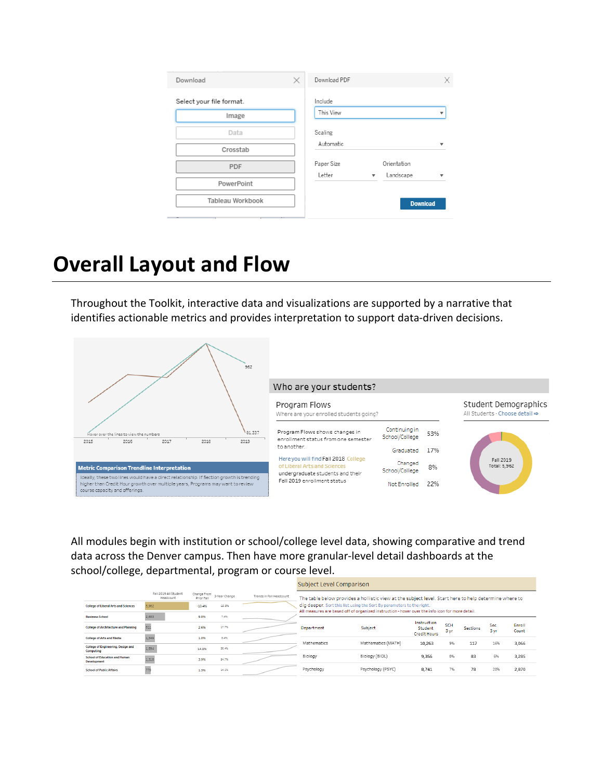| Download                                     | × | Download PDF                                    |                                             |   |
|----------------------------------------------|---|-------------------------------------------------|---------------------------------------------|---|
| Select your file format.<br>Image            |   | Include<br>This View                            |                                             |   |
| Data<br>Crosstab                             |   | Scaling<br>Automatic                            |                                             | - |
| <b>PDF</b><br>PowerPoint<br>Tableau Workbook |   | Paper Size<br>Letter<br>$\overline{\mathbf{v}}$ | Orientation<br>Landscape<br><b>Download</b> |   |

### **Overall Layout and Flow**

Throughout the Toolkit, interactive data and visualizations are supported by a narrative that identifies actionable metrics and provides interpretation to support data-driven decisions.



All modules begin with institution or school/college level data, showing comparative and trend data across the Denver campus. Then have more granular-level detail dashboards at the school/college, departmental, program or course level.

|                                                            |                                    |                           |               |                          | Subject Level Comparison |                                                                                                                                                                          |                                                      |                    |                 |              |                 |
|------------------------------------------------------------|------------------------------------|---------------------------|---------------|--------------------------|--------------------------|--------------------------------------------------------------------------------------------------------------------------------------------------------------------------|------------------------------------------------------|--------------------|-----------------|--------------|-----------------|
|                                                            | Fall 2019 All Student<br>Headcount | Change From<br>Prior Fall | 3-Year Change | Trends in Fall Headcount |                          | The table below provides a hollistic view at the subject level. Start here to help determine where to                                                                    |                                                      |                    |                 |              |                 |
| <b>College of Liberal Arts and Sciences</b>                | 5.962                              | $-13.4%$                  | $-10.8%$      |                          |                          | dig deeper. Sort this list using the Sort By parameters to the right.<br>All measures are based off of organized instruction - hover over the info icon for more detail. |                                                      |                    |                 |              |                 |
| <b>Business School</b>                                     | 2,683                              | 9.8%                      | 7.4%          |                          |                          |                                                                                                                                                                          |                                                      |                    |                 |              |                 |
| <b>College of Architecture and Planning</b>                | 811                                | 2.6%                      | 17.7%         |                          | <b>Department</b>        | Subject                                                                                                                                                                  | Instruction<br><b>Student</b><br><b>Credit Hours</b> | <b>SCH</b><br>3 yr | <b>Sections</b> | Sec.<br>3 yr | Enroll<br>Count |
| <b>College of Arts and Media</b>                           | 1,349                              | 1.0%                      | 8.4%          |                          | Mathematics              | Mathematics (MATH)                                                                                                                                                       |                                                      | 9%                 |                 | 16%          |                 |
| College of Engineering, Design and<br>Computing            | 1.594                              | 14.1%                     | 26.4%         |                          |                          |                                                                                                                                                                          | 10,263                                               |                    | 117             |              | 3,066           |
| <b>School of Education and Human</b><br><b>Development</b> | 1,318                              | 3.9%                      | 54.7%         |                          | Biology                  | Biology (BIOL)                                                                                                                                                           | 9.356                                                | 0%                 | 83              | 6%           | 3.285           |
| <b>School of Public Affairs</b>                            |                                    | 1.3%                      | 14.1%         |                          | Psychology               | Psychology (PSYC)                                                                                                                                                        | 8.741                                                | 7%                 | 78              | 20%          | 2,870           |